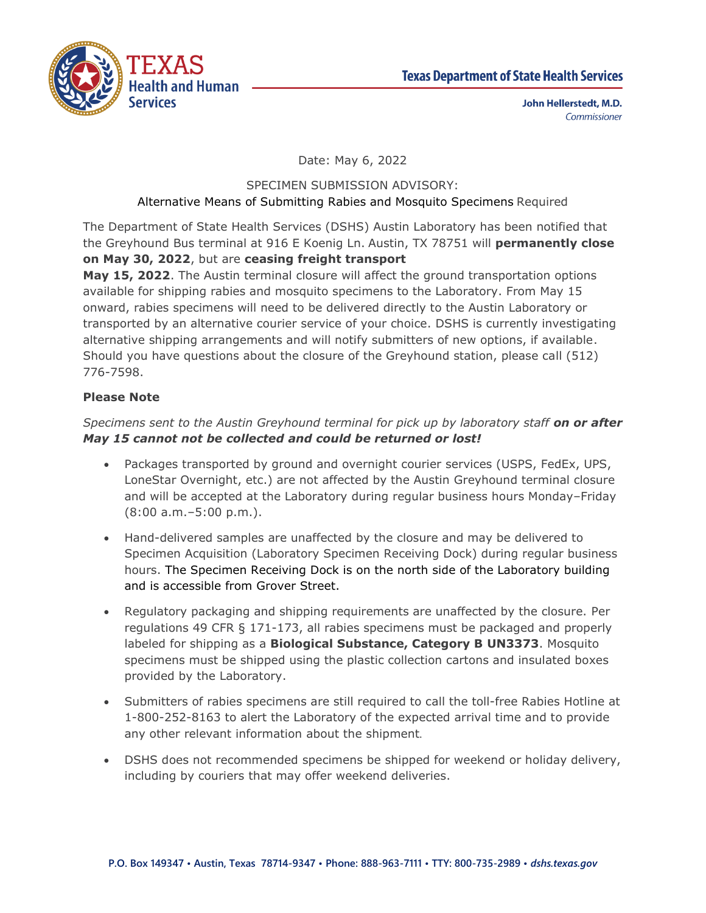



John Hellerstedt, M.D. Commissioner

Date: May 6, 2022

## SPECIMEN SUBMISSION ADVISORY:

#### Alternative Means of Submitting Rabies and Mosquito Specimens Required

The Department of State Health Services (DSHS) Austin Laboratory has been notified that the Greyhound Bus terminal at 916 E Koenig Ln. Austin, TX 78751 will **permanently close on May 30, 2022**, but are **ceasing freight transport** 

**May 15, 2022**. The Austin terminal closure will affect the ground transportation options available for shipping rabies and mosquito specimens to the Laboratory. From May 15 onward, rabies specimens will need to be delivered directly to the Austin Laboratory or transported by an alternative courier service of your choice. DSHS is currently investigating alternative shipping arrangements and will notify submitters of new options, if available. Should you have questions about the closure of the Greyhound station, please call (512) 776-7598.

## **Please Note**

# *Specimens sent to the Austin Greyhound terminal for pick up by laboratory staff on or after May 15 cannot not be collected and could be returned or lost!*

- Packages transported by ground and overnight courier services (USPS, FedEx, UPS, LoneStar Overnight, etc.) are not affected by the Austin Greyhound terminal closure and will be accepted at the Laboratory during regular business hours Monday–Friday (8:00 a.m.–5:00 p.m.).
- Hand-delivered samples are unaffected by the closure and may be delivered to Specimen Acquisition (Laboratory Specimen Receiving Dock) during regular business hours. The Specimen Receiving Dock is on the north side of the Laboratory building and is accessible from Grover Street.
- Regulatory packaging and shipping requirements are unaffected by the closure. Per regulations 49 CFR § 171-173, all rabies specimens must be packaged and properly labeled for shipping as a **Biological Substance, Category B UN3373**. Mosquito specimens must be shipped using the plastic collection cartons and insulated boxes provided by the Laboratory.
- Submitters of rabies specimens are still required to call the toll-free Rabies Hotline at 1-800-252-8163 to alert the Laboratory of the expected arrival time and to provide any other relevant information about the shipment.
- DSHS does not recommended specimens be shipped for weekend or holiday delivery, including by couriers that may offer weekend deliveries.